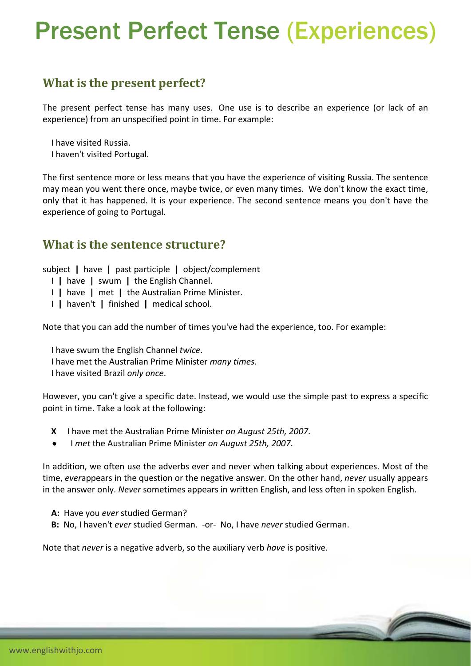# Present Perfect Tense (Experiences)

## **What is the present perfect?**

The present perfect tense has many uses. One use is to describe an experience (or lack of an experience) from an unspecified point in time. For example:

I have visited Russia.

I haven't visited Portugal.

The first sentence more or less means that you have the experience of visiting Russia. The sentence may mean you went there once, maybe twice, or even many times. We don't know the exact time, only that it has happened. It is your experience. The second sentence means you don't have the experience of going to Portugal.

#### **What is the sentence structure?**

subject **|** have **|** past participle **|** object/complement

- I **|** have **|** swum **|** the English Channel.
- I **|** have **|** met **|** the Australian Prime Minister.
- I **|** haven't **|** finished **|** medical school.

Note that you can add the number of times you've had the experience, too. For example:

I have swum the English Channel *twice*.

- I have met the Australian Prime Minister *many times*.
- I have visited Brazil *only once*.

However, you can't give a specific date. Instead, we would use the simple past to express a specific point in time. Take a look at the following:

- **X** I have met the Australian Prime Minister *on August 25th, 2007*.
- I *met* the Australian Prime Minister *on August 25th, 2007*.

In addition, we often use the adverbs ever and never when talking about experiences. Most of the time, *ever*appears in the question or the negative answer. On the other hand, *never* usually appears in the answer only. *Never* sometimes appears in written English, and less often in spoken English.

- **A:** Have you *ever* studied German?
- **B:** No, I haven't *ever* studied German. ‐or‐ No, I have *never* studied German.

Note that *never* is a negative adverb, so the auxiliary verb *have* is positive.